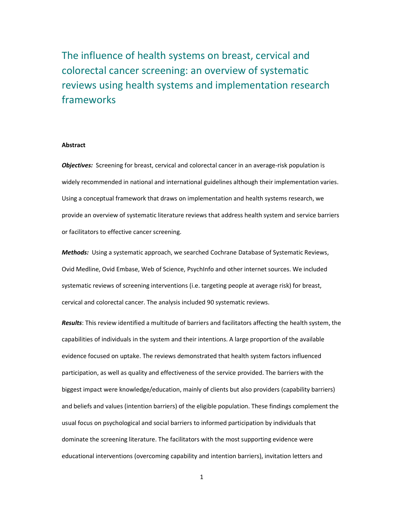The influence of health systems on breast, cervical and colorectal cancer screening: an overview of systematic reviews using health systems and implementation research frameworks

#### **Abstract**

Objectives: Screening for breast, cervical and colorectal cancer in an average-risk population is widely recommended in national and international guidelines although their implementation varies. Using a conceptual framework that draws on implementation and health systems research, we provide an overview of systematic literature reviews that address health system and service barriers or facilitators to effective cancer screening.

Methods: Using a systematic approach, we searched Cochrane Database of Systematic Reviews, Ovid Medline, Ovid Embase, Web of Science, PsychInfo and other internet sources. We included systematic reviews of screening interventions (i.e. targeting people at average risk) for breast, cervical and colorectal cancer. The analysis included 90 systematic reviews.

Results: This review identified a multitude of barriers and facilitators affecting the health system, the capabilities of individuals in the system and their intentions. A large proportion of the available evidence focused on uptake. The reviews demonstrated that health system factors influenced participation, as well as quality and effectiveness of the service provided. The barriers with the biggest impact were knowledge/education, mainly of clients but also providers (capability barriers) and beliefs and values (intention barriers) of the eligible population. These findings complement the usual focus on psychological and social barriers to informed participation by individuals that dominate the screening literature. The facilitators with the most supporting evidence were educational interventions (overcoming capability and intention barriers), invitation letters and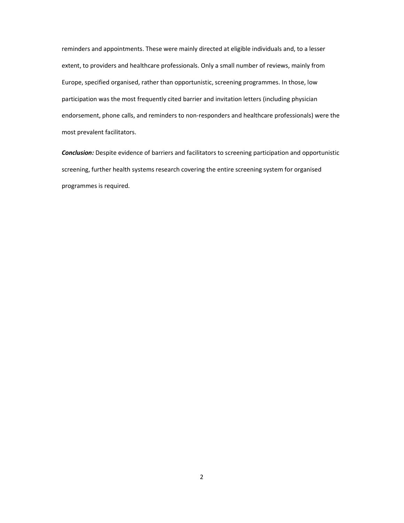reminders and appointments. These were mainly directed at eligible individuals and, to a lesser extent, to providers and healthcare professionals. Only a small number of reviews, mainly from Europe, specified organised, rather than opportunistic, screening programmes. In those, low participation was the most frequently cited barrier and invitation letters (including physician endorsement, phone calls, and reminders to non-responders and healthcare professionals) were the most prevalent facilitators.

**Conclusion:** Despite evidence of barriers and facilitators to screening participation and opportunistic screening, further health systems research covering the entire screening system for organised programmes is required.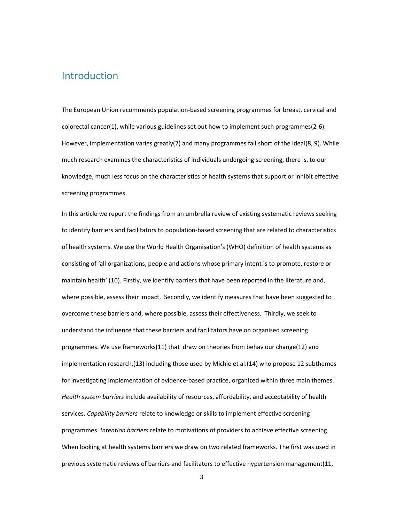## **Introduction**

The European Union recommends population-based screening programmes for breast, cervical and colorectal cancer(1), while various guidelines set out how to implement such programmes(2-6). However, implementation varies greatly(7) and many programmes fall short of the ideal(8, 9). While much research examines the characteristics of individuals undergoing screening, there is, to our knowledge, much less focus on the characteristics of health systems that support or inhibit effective screening programmes.

In this article we report the findings from an umbrella review of existing systematic reviews seeking to identify barriers and facilitators to population-based screening that are related to characteristics of health systems. We use the World Health Organisation's (WHO) definition of health systems as consisting of 'all organizations, people and actions whose primary intent is to promote, restore or maintain health' (10). Firstly, we identify barriers that have been reported in the literature and, where possible, assess their impact. Secondly, we identify measures that have been suggested to overcome these barriers and, where possible, assess their effectiveness. Thirdly, we seek to understand the influence that these barriers and facilitators have on organised screening programmes. We use frameworks(11) that draw on theories from behaviour change(12) and implementation research,(13) including those used by Michie et al.(14) who propose 12 subthemes for investigating implementation of evidence-based practice, organized within three main themes. Health system barriers include availability of resources, affordability, and acceptability of health services. Capability barriers relate to knowledge or skills to implement effective screening programmes. Intention barriers relate to motivations of providers to achieve effective screening. When looking at health systems barriers we draw on two related frameworks. The first was used in previous systematic reviews of barriers and facilitators to effective hypertension management(11,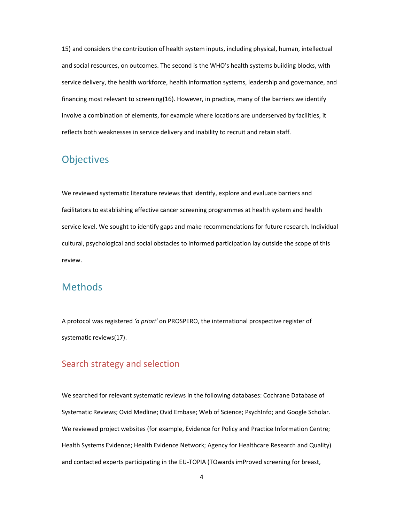15) and considers the contribution of health system inputs, including physical, human, intellectual and social resources, on outcomes. The second is the WHO's health systems building blocks, with service delivery, the health workforce, health information systems, leadership and governance, and financing most relevant to screening(16). However, in practice, many of the barriers we identify involve a combination of elements, for example where locations are underserved by facilities, it reflects both weaknesses in service delivery and inability to recruit and retain staff.

# **Objectives**

We reviewed systematic literature reviews that identify, explore and evaluate barriers and facilitators to establishing effective cancer screening programmes at health system and health service level. We sought to identify gaps and make recommendations for future research. Individual cultural, psychological and social obstacles to informed participation lay outside the scope of this review.

## Methods

A protocol was registered 'a priori' on PROSPERO, the international prospective register of systematic reviews(17).

## Search strategy and selection

We searched for relevant systematic reviews in the following databases: Cochrane Database of Systematic Reviews; Ovid Medline; Ovid Embase; Web of Science; PsychInfo; and Google Scholar. We reviewed project websites (for example, Evidence for Policy and Practice Information Centre; Health Systems Evidence; Health Evidence Network; Agency for Healthcare Research and Quality) and contacted experts participating in the EU-TOPIA (TOwards imProved screening for breast,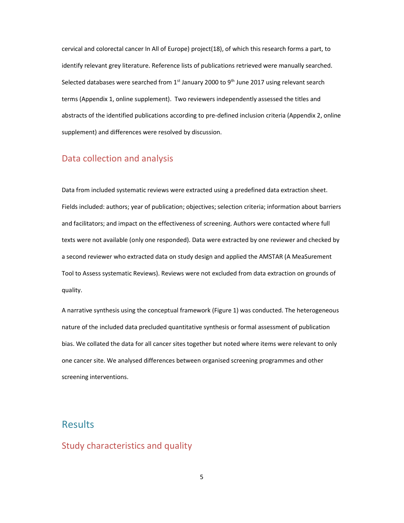cervical and colorectal cancer In All of Europe) project(18), of which this research forms a part, to identify relevant grey literature. Reference lists of publications retrieved were manually searched. Selected databases were searched from 1<sup>st</sup> January 2000 to 9<sup>th</sup> June 2017 using relevant search terms (Appendix 1, online supplement). Two reviewers independently assessed the titles and abstracts of the identified publications according to pre-defined inclusion criteria (Appendix 2, online supplement) and differences were resolved by discussion.

## Data collection and analysis

Data from included systematic reviews were extracted using a predefined data extraction sheet. Fields included: authors; year of publication; objectives; selection criteria; information about barriers and facilitators; and impact on the effectiveness of screening. Authors were contacted where full texts were not available (only one responded). Data were extracted by one reviewer and checked by a second reviewer who extracted data on study design and applied the AMSTAR (A MeaSurement Tool to Assess systematic Reviews). Reviews were not excluded from data extraction on grounds of quality.

A narrative synthesis using the conceptual framework (Figure 1) was conducted. The heterogeneous nature of the included data precluded quantitative synthesis or formal assessment of publication bias. We collated the data for all cancer sites together but noted where items were relevant to only one cancer site. We analysed differences between organised screening programmes and other screening interventions.

## **Results**

### Study characteristics and quality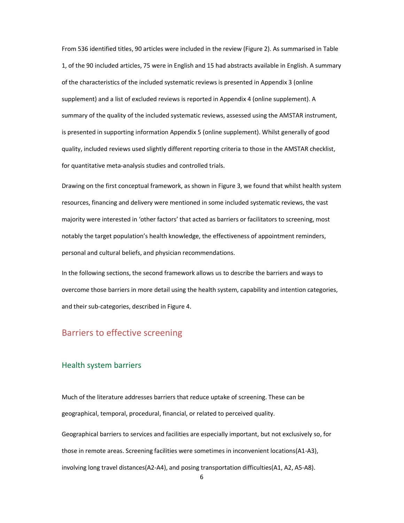From 536 identified titles, 90 articles were included in the review (Figure 2). As summarised in Table 1, of the 90 included articles, 75 were in English and 15 had abstracts available in English. A summary of the characteristics of the included systematic reviews is presented in Appendix 3 (online supplement) and a list of excluded reviews is reported in Appendix 4 (online supplement). A summary of the quality of the included systematic reviews, assessed using the AMSTAR instrument, is presented in supporting information Appendix 5 (online supplement). Whilst generally of good quality, included reviews used slightly different reporting criteria to those in the AMSTAR checklist, for quantitative meta-analysis studies and controlled trials.

Drawing on the first conceptual framework, as shown in Figure 3, we found that whilst health system resources, financing and delivery were mentioned in some included systematic reviews, the vast majority were interested in 'other factors' that acted as barriers or facilitators to screening, most notably the target population's health knowledge, the effectiveness of appointment reminders, personal and cultural beliefs, and physician recommendations.

In the following sections, the second framework allows us to describe the barriers and ways to overcome those barriers in more detail using the health system, capability and intention categories, and their sub-categories, described in Figure 4.

# Barriers to effective screening

#### Health system barriers

Much of the literature addresses barriers that reduce uptake of screening. These can be geographical, temporal, procedural, financial, or related to perceived quality.

Geographical barriers to services and facilities are especially important, but not exclusively so, for those in remote areas. Screening facilities were sometimes in inconvenient locations(A1-A3), involving long travel distances(A2-A4), and posing transportation difficulties(A1, A2, A5-A8).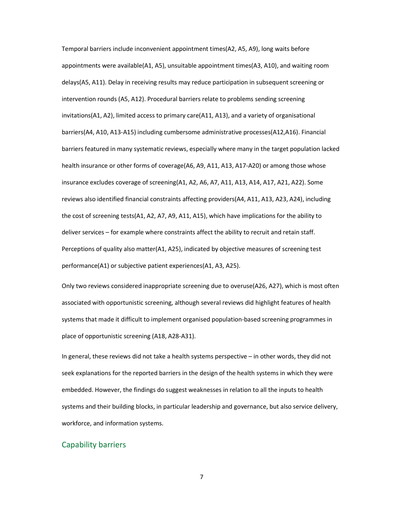Temporal barriers include inconvenient appointment times(A2, A5, A9), long waits before appointments were available(A1, A5), unsuitable appointment times(A3, A10), and waiting room delays(A5, A11). Delay in receiving results may reduce participation in subsequent screening or intervention rounds (A5, A12). Procedural barriers relate to problems sending screening invitations(A1, A2), limited access to primary care(A11, A13), and a variety of organisational barriers(A4, A10, A13-A15) including cumbersome administrative processes(A12,A16). Financial barriers featured in many systematic reviews, especially where many in the target population lacked health insurance or other forms of coverage(A6, A9, A11, A13, A17-A20) or among those whose insurance excludes coverage of screening(A1, A2, A6, A7, A11, A13, A14, A17, A21, A22). Some reviews also identified financial constraints affecting providers(A4, A11, A13, A23, A24), including the cost of screening tests(A1, A2, A7, A9, A11, A15), which have implications for the ability to deliver services – for example where constraints affect the ability to recruit and retain staff. Perceptions of quality also matter(A1, A25), indicated by objective measures of screening test performance(A1) or subjective patient experiences(A1, A3, A25).

Only two reviews considered inappropriate screening due to overuse(A26, A27), which is most often associated with opportunistic screening, although several reviews did highlight features of health systems that made it difficult to implement organised population-based screening programmes in place of opportunistic screening (A18, A28-A31).

In general, these reviews did not take a health systems perspective – in other words, they did not seek explanations for the reported barriers in the design of the health systems in which they were embedded. However, the findings do suggest weaknesses in relation to all the inputs to health systems and their building blocks, in particular leadership and governance, but also service delivery, workforce, and information systems.

#### Capability barriers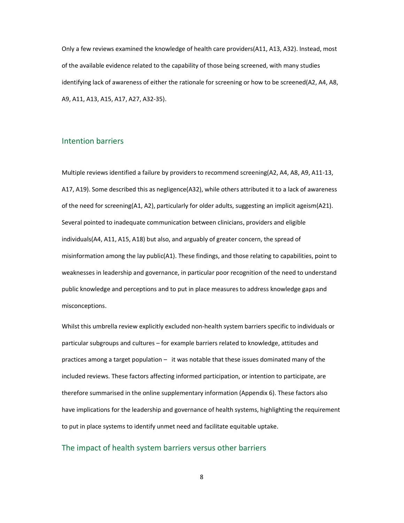Only a few reviews examined the knowledge of health care providers(A11, A13, A32). Instead, most of the available evidence related to the capability of those being screened, with many studies identifying lack of awareness of either the rationale for screening or how to be screened(A2, A4, A8, A9, A11, A13, A15, A17, A27, A32-35).

#### Intention barriers

Multiple reviews identified a failure by providers to recommend screening(A2, A4, A8, A9, A11-13, A17, A19). Some described this as negligence(A32), while others attributed it to a lack of awareness of the need for screening(A1, A2), particularly for older adults, suggesting an implicit ageism(A21). Several pointed to inadequate communication between clinicians, providers and eligible individuals(A4, A11, A15, A18) but also, and arguably of greater concern, the spread of misinformation among the lay public(A1). These findings, and those relating to capabilities, point to weaknesses in leadership and governance, in particular poor recognition of the need to understand public knowledge and perceptions and to put in place measures to address knowledge gaps and misconceptions.

Whilst this umbrella review explicitly excluded non-health system barriers specific to individuals or particular subgroups and cultures – for example barriers related to knowledge, attitudes and practices among a target population – it was notable that these issues dominated many of the included reviews. These factors affecting informed participation, or intention to participate, are therefore summarised in the online supplementary information (Appendix 6). These factors also have implications for the leadership and governance of health systems, highlighting the requirement to put in place systems to identify unmet need and facilitate equitable uptake.

#### The impact of health system barriers versus other barriers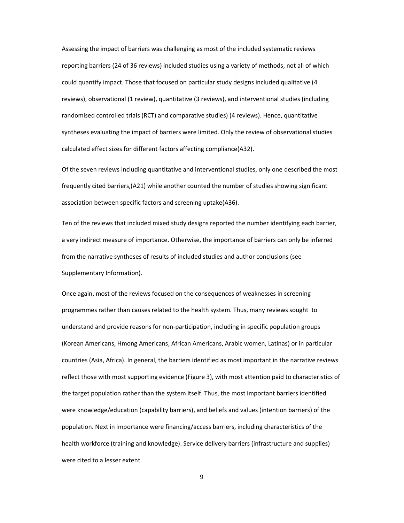Assessing the impact of barriers was challenging as most of the included systematic reviews reporting barriers (24 of 36 reviews) included studies using a variety of methods, not all of which could quantify impact. Those that focused on particular study designs included qualitative (4 reviews), observational (1 review), quantitative (3 reviews), and interventional studies (including randomised controlled trials (RCT) and comparative studies) (4 reviews). Hence, quantitative syntheses evaluating the impact of barriers were limited. Only the review of observational studies calculated effect sizes for different factors affecting compliance(A32).

Of the seven reviews including quantitative and interventional studies, only one described the most frequently cited barriers,(A21) while another counted the number of studies showing significant association between specific factors and screening uptake(A36).

Ten of the reviews that included mixed study designs reported the number identifying each barrier, a very indirect measure of importance. Otherwise, the importance of barriers can only be inferred from the narrative syntheses of results of included studies and author conclusions (see Supplementary Information).

Once again, most of the reviews focused on the consequences of weaknesses in screening programmes rather than causes related to the health system. Thus, many reviews sought to understand and provide reasons for non-participation, including in specific population groups (Korean Americans, Hmong Americans, African Americans, Arabic women, Latinas) or in particular countries (Asia, Africa). In general, the barriers identified as most important in the narrative reviews reflect those with most supporting evidence (Figure 3), with most attention paid to characteristics of the target population rather than the system itself. Thus, the most important barriers identified were knowledge/education (capability barriers), and beliefs and values (intention barriers) of the population. Next in importance were financing/access barriers, including characteristics of the health workforce (training and knowledge). Service delivery barriers (infrastructure and supplies) were cited to a lesser extent.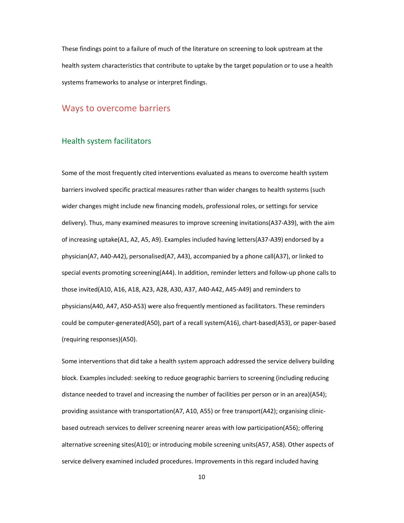These findings point to a failure of much of the literature on screening to look upstream at the health system characteristics that contribute to uptake by the target population or to use a health systems frameworks to analyse or interpret findings.

### Ways to overcome barriers

### Health system facilitators

Some of the most frequently cited interventions evaluated as means to overcome health system barriers involved specific practical measures rather than wider changes to health systems (such wider changes might include new financing models, professional roles, or settings for service delivery). Thus, many examined measures to improve screening invitations(A37-A39), with the aim of increasing uptake(A1, A2, A5, A9). Examples included having letters(A37-A39) endorsed by a physician(A7, A40-A42), personalised(A7, A43), accompanied by a phone call(A37), or linked to special events promoting screening(A44). In addition, reminder letters and follow-up phone calls to those invited(A10, A16, A18, A23, A28, A30, A37, A40-A42, A45-A49) and reminders to physicians(A40, A47, A50-A53) were also frequently mentioned as facilitators. These reminders could be computer-generated(A50), part of a recall system(A16), chart-based(A53), or paper-based (requiring responses)(A50).

Some interventions that did take a health system approach addressed the service delivery building block. Examples included: seeking to reduce geographic barriers to screening (including reducing distance needed to travel and increasing the number of facilities per person or in an area)(A54); providing assistance with transportation(A7, A10, A55) or free transport(A42); organising clinicbased outreach services to deliver screening nearer areas with low participation(A56); offering alternative screening sites(A10); or introducing mobile screening units(A57, A58). Other aspects of service delivery examined included procedures. Improvements in this regard included having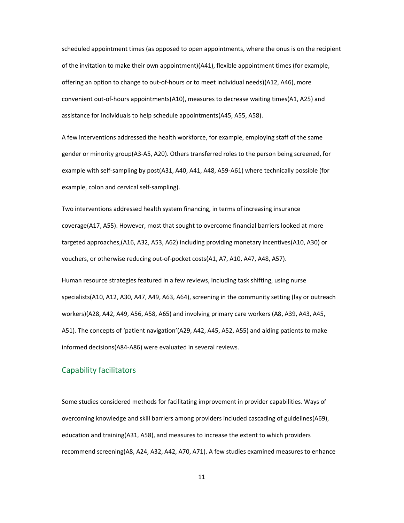scheduled appointment times (as opposed to open appointments, where the onus is on the recipient of the invitation to make their own appointment)(A41), flexible appointment times (for example, offering an option to change to out-of-hours or to meet individual needs)(A12, A46), more convenient out-of-hours appointments(A10), measures to decrease waiting times(A1, A25) and assistance for individuals to help schedule appointments(A45, A55, A58).

A few interventions addressed the health workforce, for example, employing staff of the same gender or minority group(A3-A5, A20). Others transferred roles to the person being screened, for example with self-sampling by post(A31, A40, A41, A48, A59-A61) where technically possible (for example, colon and cervical self-sampling).

Two interventions addressed health system financing, in terms of increasing insurance coverage(A17, A55). However, most that sought to overcome financial barriers looked at more targeted approaches,(A16, A32, A53, A62) including providing monetary incentives(A10, A30) or vouchers, or otherwise reducing out-of-pocket costs(A1, A7, A10, A47, A48, A57).

Human resource strategies featured in a few reviews, including task shifting, using nurse specialists(A10, A12, A30, A47, A49, A63, A64), screening in the community setting (lay or outreach workers)(A28, A42, A49, A56, A58, A65) and involving primary care workers (A8, A39, A43, A45, A51). The concepts of 'patient navigation'(A29, A42, A45, A52, A55) and aiding patients to make informed decisions(A84-A86) were evaluated in several reviews.

### Capability facilitators

Some studies considered methods for facilitating improvement in provider capabilities. Ways of overcoming knowledge and skill barriers among providers included cascading of guidelines(A69), education and training(A31, A58), and measures to increase the extent to which providers recommend screening(A8, A24, A32, A42, A70, A71). A few studies examined measures to enhance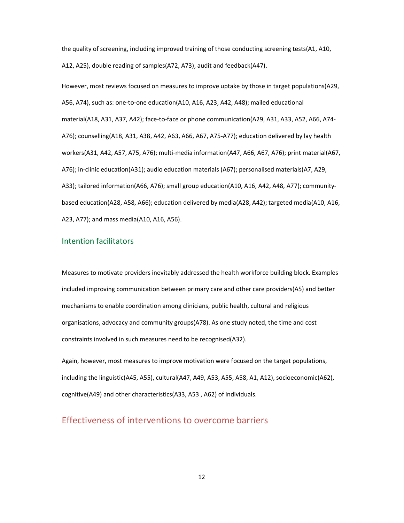the quality of screening, including improved training of those conducting screening tests(A1, A10, A12, A25), double reading of samples(A72, A73), audit and feedback(A47).

However, most reviews focused on measures to improve uptake by those in target populations(A29, A56, A74), such as: one-to-one education(A10, A16, A23, A42, A48); mailed educational material(A18, A31, A37, A42); face-to-face or phone communication(A29, A31, A33, A52, A66, A74- A76); counselling(A18, A31, A38, A42, A63, A66, A67, A75-A77); education delivered by lay health workers(A31, A42, A57, A75, A76); multi-media information(A47, A66, A67, A76); print material(A67, A76); in-clinic education(A31); audio education materials (A67); personalised materials(A7, A29, A33); tailored information(A66, A76); small group education(A10, A16, A42, A48, A77); communitybased education(A28, A58, A66); education delivered by media(A28, A42); targeted media(A10, A16, A23, A77); and mass media(A10, A16, A56).

#### Intention facilitators

Measures to motivate providers inevitably addressed the health workforce building block. Examples included improving communication between primary care and other care providers(A5) and better mechanisms to enable coordination among clinicians, public health, cultural and religious organisations, advocacy and community groups(A78). As one study noted, the time and cost constraints involved in such measures need to be recognised(A32).

Again, however, most measures to improve motivation were focused on the target populations, including the linguistic(A45, A55), cultural(A47, A49, A53, A55, A58, A1, A12), socioeconomic(A62), cognitive(A49) and other characteristics(A33, A53 , A62) of individuals.

## Effectiveness of interventions to overcome barriers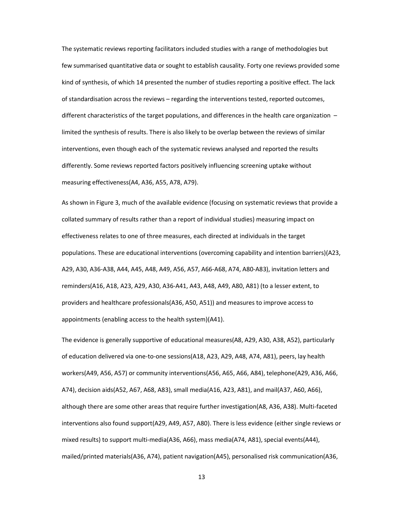The systematic reviews reporting facilitators included studies with a range of methodologies but few summarised quantitative data or sought to establish causality. Forty one reviews provided some kind of synthesis, of which 14 presented the number of studies reporting a positive effect. The lack of standardisation across the reviews – regarding the interventions tested, reported outcomes, different characteristics of the target populations, and differences in the health care organization limited the synthesis of results. There is also likely to be overlap between the reviews of similar interventions, even though each of the systematic reviews analysed and reported the results differently. Some reviews reported factors positively influencing screening uptake without measuring effectiveness(A4, A36, A55, A78, A79).

As shown in Figure 3, much of the available evidence (focusing on systematic reviews that provide a collated summary of results rather than a report of individual studies) measuring impact on effectiveness relates to one of three measures, each directed at individuals in the target populations. These are educational interventions (overcoming capability and intention barriers)(A23, A29, A30, A36-A38, A44, A45, A48, A49, A56, A57, A66-A68, A74, A80-A83), invitation letters and reminders(A16, A18, A23, A29, A30, A36-A41, A43, A48, A49, A80, A81) (to a lesser extent, to providers and healthcare professionals(A36, A50, A51)) and measures to improve access to appointments (enabling access to the health system)(A41).

The evidence is generally supportive of educational measures(A8, A29, A30, A38, A52), particularly of education delivered via one-to-one sessions(A18, A23, A29, A48, A74, A81), peers, lay health workers(A49, A56, A57) or community interventions(A56, A65, A66, A84), telephone(A29, A36, A66, A74), decision aids(A52, A67, A68, A83), small media(A16, A23, A81), and mail(A37, A60, A66), although there are some other areas that require further investigation(A8, A36, A38). Multi-faceted interventions also found support(A29, A49, A57, A80). There is less evidence (either single reviews or mixed results) to support multi-media(A36, A66), mass media(A74, A81), special events(A44), mailed/printed materials(A36, A74), patient navigation(A45), personalised risk communication(A36,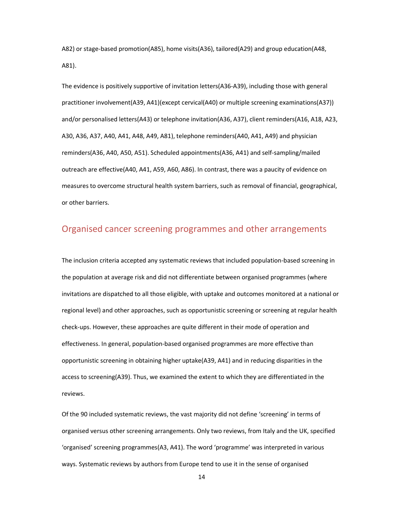A82) or stage-based promotion(A85), home visits(A36), tailored(A29) and group education(A48, A81).

The evidence is positively supportive of invitation letters(A36-A39), including those with general practitioner involvement(A39, A41)(except cervical(A40) or multiple screening examinations(A37)) and/or personalised letters(A43) or telephone invitation(A36, A37), client reminders(A16, A18, A23, A30, A36, A37, A40, A41, A48, A49, A81), telephone reminders(A40, A41, A49) and physician reminders(A36, A40, A50, A51). Scheduled appointments(A36, A41) and self-sampling/mailed outreach are effective(A40, A41, A59, A60, A86). In contrast, there was a paucity of evidence on measures to overcome structural health system barriers, such as removal of financial, geographical, or other barriers.

### Organised cancer screening programmes and other arrangements

The inclusion criteria accepted any systematic reviews that included population-based screening in the population at average risk and did not differentiate between organised programmes (where invitations are dispatched to all those eligible, with uptake and outcomes monitored at a national or regional level) and other approaches, such as opportunistic screening or screening at regular health check-ups. However, these approaches are quite different in their mode of operation and effectiveness. In general, population-based organised programmes are more effective than opportunistic screening in obtaining higher uptake(A39, A41) and in reducing disparities in the access to screening(A39). Thus, we examined the extent to which they are differentiated in the reviews.

Of the 90 included systematic reviews, the vast majority did not define 'screening' in terms of organised versus other screening arrangements. Only two reviews, from Italy and the UK, specified 'organised' screening programmes(A3, A41). The word 'programme' was interpreted in various ways. Systematic reviews by authors from Europe tend to use it in the sense of organised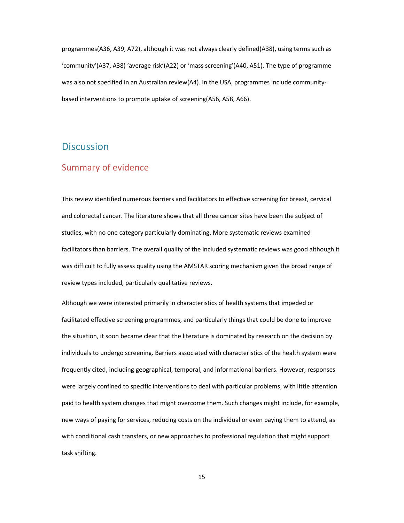programmes(A36, A39, A72), although it was not always clearly defined(A38), using terms such as 'community'(A37, A38) 'average risk'(A22) or 'mass screening'(A40, A51). The type of programme was also not specified in an Australian review(A4). In the USA, programmes include communitybased interventions to promote uptake of screening(A56, A58, A66).

## **Discussion**

### Summary of evidence

This review identified numerous barriers and facilitators to effective screening for breast, cervical and colorectal cancer. The literature shows that all three cancer sites have been the subject of studies, with no one category particularly dominating. More systematic reviews examined facilitators than barriers. The overall quality of the included systematic reviews was good although it was difficult to fully assess quality using the AMSTAR scoring mechanism given the broad range of review types included, particularly qualitative reviews.

Although we were interested primarily in characteristics of health systems that impeded or facilitated effective screening programmes, and particularly things that could be done to improve the situation, it soon became clear that the literature is dominated by research on the decision by individuals to undergo screening. Barriers associated with characteristics of the health system were frequently cited, including geographical, temporal, and informational barriers. However, responses were largely confined to specific interventions to deal with particular problems, with little attention paid to health system changes that might overcome them. Such changes might include, for example, new ways of paying for services, reducing costs on the individual or even paying them to attend, as with conditional cash transfers, or new approaches to professional regulation that might support task shifting.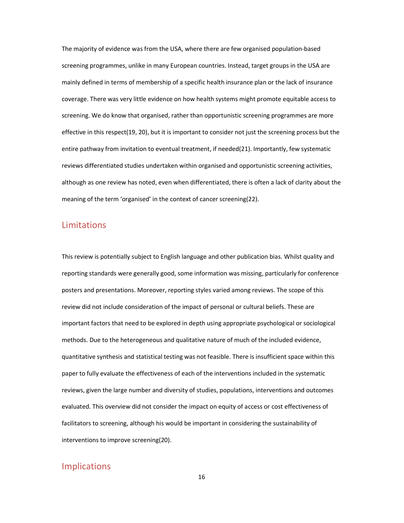The majority of evidence was from the USA, where there are few organised population-based screening programmes, unlike in many European countries. Instead, target groups in the USA are mainly defined in terms of membership of a specific health insurance plan or the lack of insurance coverage. There was very little evidence on how health systems might promote equitable access to screening. We do know that organised, rather than opportunistic screening programmes are more effective in this respect(19, 20), but it is important to consider not just the screening process but the entire pathway from invitation to eventual treatment, if needed(21). Importantly, few systematic reviews differentiated studies undertaken within organised and opportunistic screening activities, although as one review has noted, even when differentiated, there is often a lack of clarity about the meaning of the term 'organised' in the context of cancer screening(22).

### Limitations

This review is potentially subject to English language and other publication bias. Whilst quality and reporting standards were generally good, some information was missing, particularly for conference posters and presentations. Moreover, reporting styles varied among reviews. The scope of this review did not include consideration of the impact of personal or cultural beliefs. These are important factors that need to be explored in depth using appropriate psychological or sociological methods. Due to the heterogeneous and qualitative nature of much of the included evidence, quantitative synthesis and statistical testing was not feasible. There is insufficient space within this paper to fully evaluate the effectiveness of each of the interventions included in the systematic reviews, given the large number and diversity of studies, populations, interventions and outcomes evaluated. This overview did not consider the impact on equity of access or cost effectiveness of facilitators to screening, although his would be important in considering the sustainability of interventions to improve screening(20).

### Implications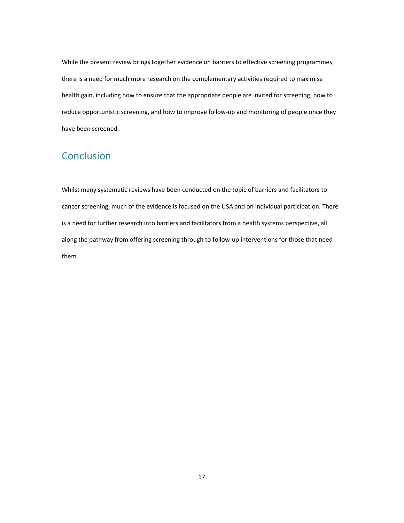While the present review brings together evidence on barriers to effective screening programmes, there is a need for much more research on the complementary activities required to maximise health gain, including how to ensure that the appropriate people are invited for screening, how to reduce opportunistic screening, and how to improve follow-up and monitoring of people once they have been screened.

# Conclusion

Whilst many systematic reviews have been conducted on the topic of barriers and facilitators to cancer screening, much of the evidence is focused on the USA and on individual participation. There is a need for further research into barriers and facilitators from a health systems perspective, all along the pathway from offering screening through to follow-up interventions for those that need them.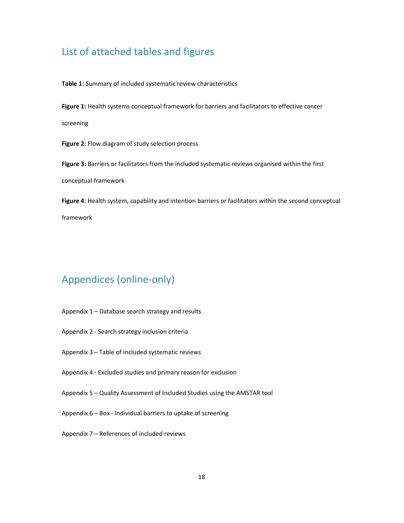# List of attached tables and figures

Table 1: Summary of included systematic review characteristics

Figure 1: Health systems conceptual framework for barriers and facilitators to effective cancer

screening

Figure 2: Flow diagram of study selection process

Figure 3: Barriers or facilitators from the included systematic reviews organised within the first conceptual framework

Figure 4: Health system, capability and intention barriers or facilitators within the second conceptual framework

# Appendices (online-only)

- Appendix 1 Database search strategy and results
- Appendix 2 Search strategy inclusion criteria
- Appendix 3 Table of included systematic reviews
- Appendix 4 Excluded studies and primary reason for exclusion
- Appendix 5 Quality Assessment of Included Studies using the AMSTAR tool
- Appendix 6 Box Individual barriers to uptake of screening
- Appendix 7 References of included reviews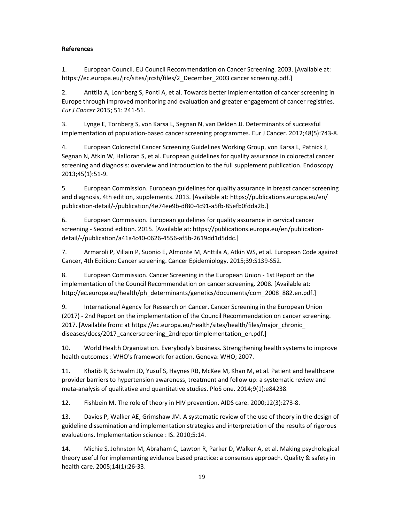#### References

1. European Council. EU Council Recommendation on Cancer Screening. 2003. [Available at: https://ec.europa.eu/jrc/sites/jrcsh/files/2\_December\_2003 cancer screening.pdf.]

2. Anttila A, Lonnberg S, Ponti A, et al. Towards better implementation of cancer screening in Europe through improved monitoring and evaluation and greater engagement of cancer registries. Eur J Cancer 2015; 51: 241-51.

3. Lynge E, Tornberg S, von Karsa L, Segnan N, van Delden JJ. Determinants of successful implementation of population-based cancer screening programmes. Eur J Cancer. 2012;48(5):743-8.

4. European Colorectal Cancer Screening Guidelines Working Group, von Karsa L, Patnick J, Segnan N, Atkin W, Halloran S, et al. European guidelines for quality assurance in colorectal cancer screening and diagnosis: overview and introduction to the full supplement publication. Endoscopy. 2013;45(1):51-9.

5. European Commission. European guidelines for quality assurance in breast cancer screening and diagnosis, 4th edition, supplements. 2013. [Available at: https://publications.europa.eu/en/ publication-detail/-/publication/4e74ee9b-df80-4c91-a5fb-85efb0fdda2b.]

6. European Commission. European guidelines for quality assurance in cervical cancer screening - Second edition. 2015. [Available at: https://publications.europa.eu/en/publicationdetail/-/publication/a41a4c40-0626-4556-af5b-2619dd1d5ddc.]

7. Armaroli P, Villain P, Suonio E, Almonte M, Anttila A, Atkin WS, et al. European Code against Cancer, 4th Edition: Cancer screening. Cancer Epidemiology. 2015;39:S139-S52.

8. European Commission. Cancer Screening in the European Union - 1st Report on the implementation of the Council Recommendation on cancer screening. 2008. [Available at: http://ec.europa.eu/health/ph\_determinants/genetics/documents/com\_2008\_882.en.pdf.]

9. International Agency for Research on Cancer. Cancer Screening in the European Union (2017) - 2nd Report on the implementation of the Council Recommendation on cancer screening. 2017. [Available from: at https://ec.europa.eu/health/sites/health/files/major\_chronic\_ diseases/docs/2017\_cancerscreening\_2ndreportimplementation\_en.pdf.]

10. World Health Organization. Everybody's business. Strengthening health systems to improve health outcomes : WHO's framework for action. Geneva: WHO; 2007.

11. Khatib R, Schwalm JD, Yusuf S, Haynes RB, McKee M, Khan M, et al. Patient and healthcare provider barriers to hypertension awareness, treatment and follow up: a systematic review and meta-analysis of qualitative and quantitative studies. PloS one. 2014;9(1):e84238.

12. Fishbein M. The role of theory in HIV prevention. AIDS care. 2000;12(3):273-8.

13. Davies P, Walker AE, Grimshaw JM. A systematic review of the use of theory in the design of guideline dissemination and implementation strategies and interpretation of the results of rigorous evaluations. Implementation science : IS. 2010;5:14.

14. Michie S, Johnston M, Abraham C, Lawton R, Parker D, Walker A, et al. Making psychological theory useful for implementing evidence based practice: a consensus approach. Quality & safety in health care. 2005;14(1):26-33.